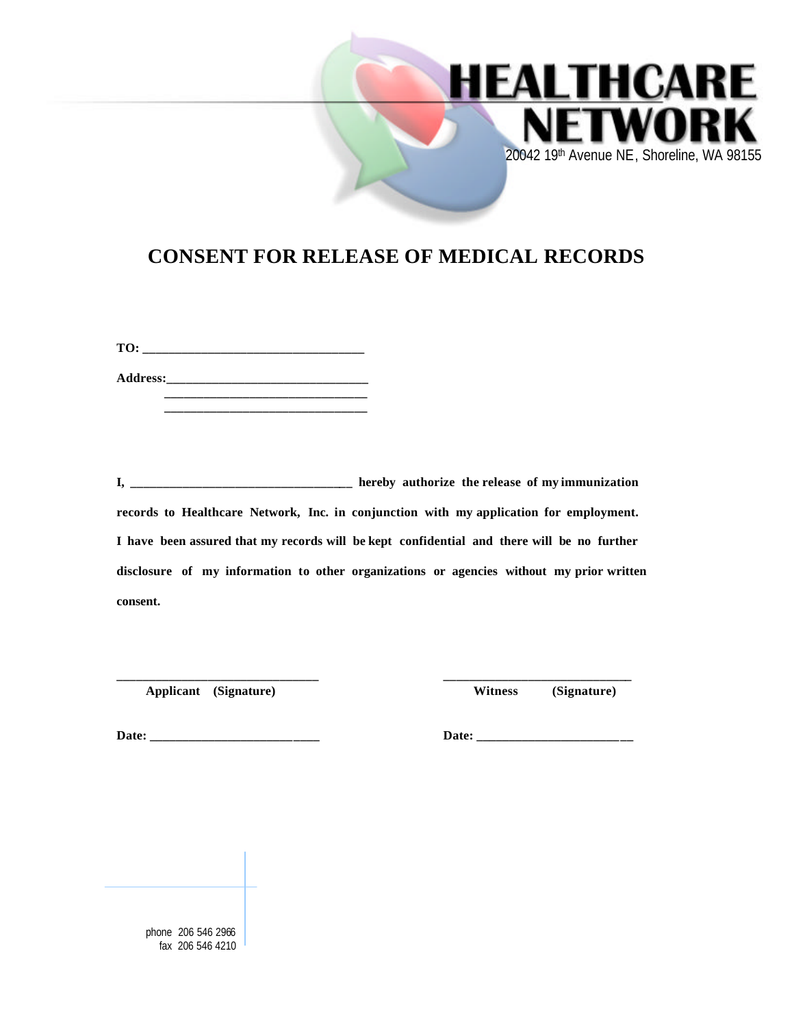

## **CONSENT FOR RELEASE OF MEDICAL RECORDS**

**TO: \_\_\_\_\_\_\_\_\_\_\_\_\_\_\_\_\_\_\_\_\_\_\_\_\_\_\_\_\_\_\_\_\_\_ Address:\_\_\_\_\_\_\_\_\_\_\_\_\_\_\_\_\_\_\_\_\_\_\_\_\_\_\_\_\_\_\_**

 **\_\_\_\_\_\_\_\_\_\_\_\_\_\_\_\_\_\_\_\_\_\_\_\_\_\_\_\_\_\_\_**

**I, \_\_\_\_\_\_\_\_\_\_\_\_\_\_\_\_\_\_\_\_\_\_\_\_\_\_\_\_\_\_\_\_\_\_ hereby authorize the release of my immunization records to Healthcare Network, Inc. in conjunction with my application for employment. I have been assured that my records will be kept confidential and there will be no further disclosure of my information to other organizations or agencies without my prior written consent.**

**\_\_\_\_\_\_\_\_\_\_\_\_\_\_\_\_\_\_\_\_\_\_\_\_\_\_\_\_\_\_\_ \_\_\_\_\_\_\_\_\_\_\_\_\_\_\_\_\_\_\_\_\_\_\_\_\_\_\_\_\_**

 **Applicant (Signature) Witness (Signature)**

**Date: \_\_\_\_\_\_\_\_\_\_\_\_\_\_\_\_\_\_\_\_\_\_\_\_\_\_ Date: \_\_\_\_\_\_\_\_\_\_\_\_\_\_\_\_\_\_\_\_\_\_\_\_**

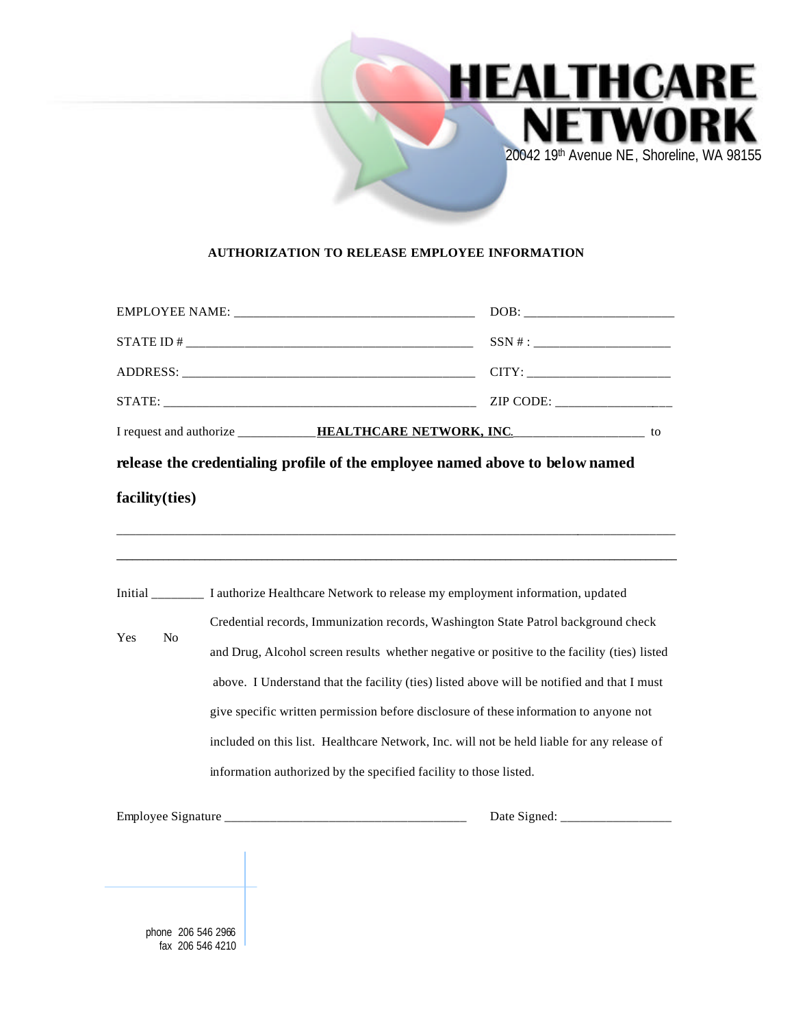

## **AUTHORIZATION TO RELEASE EMPLOYEE INFORMATION**

|                                        | EMPLOYEE NAME:                                                                                                                                                                                                                                                                                                                                                                                                                                                                                                                              | DOB: |
|----------------------------------------|---------------------------------------------------------------------------------------------------------------------------------------------------------------------------------------------------------------------------------------------------------------------------------------------------------------------------------------------------------------------------------------------------------------------------------------------------------------------------------------------------------------------------------------------|------|
|                                        |                                                                                                                                                                                                                                                                                                                                                                                                                                                                                                                                             |      |
|                                        |                                                                                                                                                                                                                                                                                                                                                                                                                                                                                                                                             |      |
|                                        | STATE:                                                                                                                                                                                                                                                                                                                                                                                                                                                                                                                                      |      |
|                                        | I request and authorize ____________HEALTHCARE NETWORK, INC. ____________________ to                                                                                                                                                                                                                                                                                                                                                                                                                                                        |      |
| facility(ties)                         | release the credentialing profile of the employee named above to below named                                                                                                                                                                                                                                                                                                                                                                                                                                                                |      |
|                                        | Initial I authorize Healthcare Network to release my employment information, updated                                                                                                                                                                                                                                                                                                                                                                                                                                                        |      |
| No<br>Yes                              | Credential records, Immunization records, Washington State Patrol background check<br>and Drug, Alcohol screen results whether negative or positive to the facility (ties) listed<br>above. I Understand that the facility (ties) listed above will be notified and that I must<br>give specific written permission before disclosure of these information to anyone not<br>included on this list. Healthcare Network, Inc. will not be held liable for any release of<br>information authorized by the specified facility to those listed. |      |
|                                        |                                                                                                                                                                                                                                                                                                                                                                                                                                                                                                                                             |      |
| phone 206 546 2966<br>fax 206 546 4210 |                                                                                                                                                                                                                                                                                                                                                                                                                                                                                                                                             |      |